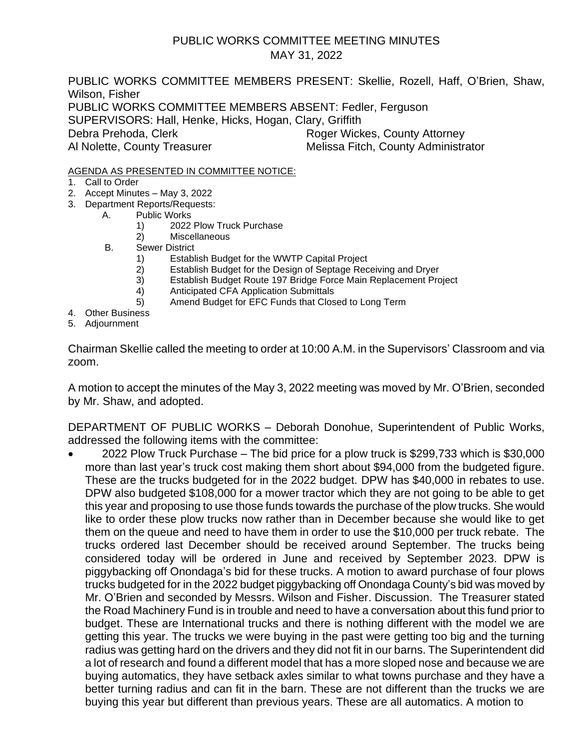### PUBLIC WORKS COMMITTEE MEETING MINUTES MAY 31, 2022

PUBLIC WORKS COMMITTEE MEMBERS PRESENT: Skellie, Rozell, Haff, O'Brien, Shaw, Wilson, Fisher PUBLIC WORKS COMMITTEE MEMBERS ABSENT: Fedler, Ferguson SUPERVISORS: Hall, Henke, Hicks, Hogan, Clary, Griffith Debra Prehoda, Clerk **Roger Wickes, County Attorney** Al Nolette, County Treasurer Melissa Fitch, County Administrator

#### AGENDA AS PRESENTED IN COMMITTEE NOTICE:

- 1. Call to Order
- 2. Accept Minutes May 3, 2022
- 3. Department Reports/Requests:
	- A. Public Works
		- 1) 2022 Plow Truck Purchase
		- 2) Miscellaneous
	- B. Sewer District
		- 1) Establish Budget for the WWTP Capital Project
		- 2) Establish Budget for the Design of Septage Receiving and Dryer
		- 3) Establish Budget Route 197 Bridge Force Main Replacement Project
		- 4) Anticipated CFA Application Submittals
		- 5) Amend Budget for EFC Funds that Closed to Long Term
- 4. Other Business
- 5. Adjournment

Chairman Skellie called the meeting to order at 10:00 A.M. in the Supervisors' Classroom and via zoom.

A motion to accept the minutes of the May 3, 2022 meeting was moved by Mr. O'Brien, seconded by Mr. Shaw, and adopted.

DEPARTMENT OF PUBLIC WORKS – Deborah Donohue, Superintendent of Public Works, addressed the following items with the committee:

• 2022 Plow Truck Purchase – The bid price for a plow truck is \$299,733 which is \$30,000 more than last year's truck cost making them short about \$94,000 from the budgeted figure. These are the trucks budgeted for in the 2022 budget. DPW has \$40,000 in rebates to use. DPW also budgeted \$108,000 for a mower tractor which they are not going to be able to get this year and proposing to use those funds towards the purchase of the plow trucks. She would like to order these plow trucks now rather than in December because she would like to get them on the queue and need to have them in order to use the \$10,000 per truck rebate. The trucks ordered last December should be received around September. The trucks being considered today will be ordered in June and received by September 2023. DPW is piggybacking off Onondaga's bid for these trucks. A motion to award purchase of four plows trucks budgeted for in the 2022 budget piggybacking off Onondaga County's bid was moved by Mr. O'Brien and seconded by Messrs. Wilson and Fisher. Discussion. The Treasurer stated the Road Machinery Fund is in trouble and need to have a conversation about this fund prior to budget. These are International trucks and there is nothing different with the model we are getting this year. The trucks we were buying in the past were getting too big and the turning radius was getting hard on the drivers and they did not fit in our barns. The Superintendent did a lot of research and found a different model that has a more sloped nose and because we are buying automatics, they have setback axles similar to what towns purchase and they have a better turning radius and can fit in the barn. These are not different than the trucks we are buying this year but different than previous years. These are all automatics. A motion to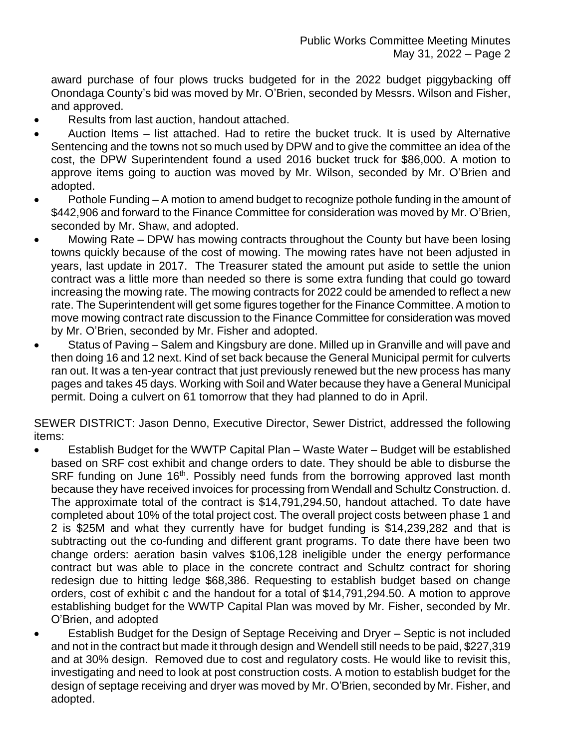award purchase of four plows trucks budgeted for in the 2022 budget piggybacking off Onondaga County's bid was moved by Mr. O'Brien, seconded by Messrs. Wilson and Fisher, and approved.

- Results from last auction, handout attached.
- Auction Items list attached. Had to retire the bucket truck. It is used by Alternative Sentencing and the towns not so much used by DPW and to give the committee an idea of the cost, the DPW Superintendent found a used 2016 bucket truck for \$86,000. A motion to approve items going to auction was moved by Mr. Wilson, seconded by Mr. O'Brien and adopted.
- Pothole Funding A motion to amend budget to recognize pothole funding in the amount of \$442,906 and forward to the Finance Committee for consideration was moved by Mr. O'Brien, seconded by Mr. Shaw, and adopted.
- Mowing Rate DPW has mowing contracts throughout the County but have been losing towns quickly because of the cost of mowing. The mowing rates have not been adjusted in years, last update in 2017. The Treasurer stated the amount put aside to settle the union contract was a little more than needed so there is some extra funding that could go toward increasing the mowing rate. The mowing contracts for 2022 could be amended to reflect a new rate. The Superintendent will get some figures together for the Finance Committee. A motion to move mowing contract rate discussion to the Finance Committee for consideration was moved by Mr. O'Brien, seconded by Mr. Fisher and adopted.
- Status of Paving Salem and Kingsbury are done. Milled up in Granville and will pave and then doing 16 and 12 next. Kind of set back because the General Municipal permit for culverts ran out. It was a ten-year contract that just previously renewed but the new process has many pages and takes 45 days. Working with Soil and Water because they have a General Municipal permit. Doing a culvert on 61 tomorrow that they had planned to do in April.

SEWER DISTRICT: Jason Denno, Executive Director, Sewer District, addressed the following items:

- Establish Budget for the WWTP Capital Plan Waste Water Budget will be established based on SRF cost exhibit and change orders to date. They should be able to disburse the SRF funding on June 16<sup>th</sup>. Possibly need funds from the borrowing approved last month because they have received invoices for processing from Wendall and Schultz Construction. d. The approximate total of the contract is \$14,791,294.50, handout attached. To date have completed about 10% of the total project cost. The overall project costs between phase 1 and 2 is \$25M and what they currently have for budget funding is \$14,239,282 and that is subtracting out the co-funding and different grant programs. To date there have been two change orders: aeration basin valves \$106,128 ineligible under the energy performance contract but was able to place in the concrete contract and Schultz contract for shoring redesign due to hitting ledge \$68,386. Requesting to establish budget based on change orders, cost of exhibit c and the handout for a total of \$14,791,294.50. A motion to approve establishing budget for the WWTP Capital Plan was moved by Mr. Fisher, seconded by Mr. O'Brien, and adopted
- Establish Budget for the Design of Septage Receiving and Dryer Septic is not included and not in the contract but made it through design and Wendell still needs to be paid, \$227,319 and at 30% design. Removed due to cost and regulatory costs. He would like to revisit this, investigating and need to look at post construction costs. A motion to establish budget for the design of septage receiving and dryer was moved by Mr. O'Brien, seconded by Mr. Fisher, and adopted.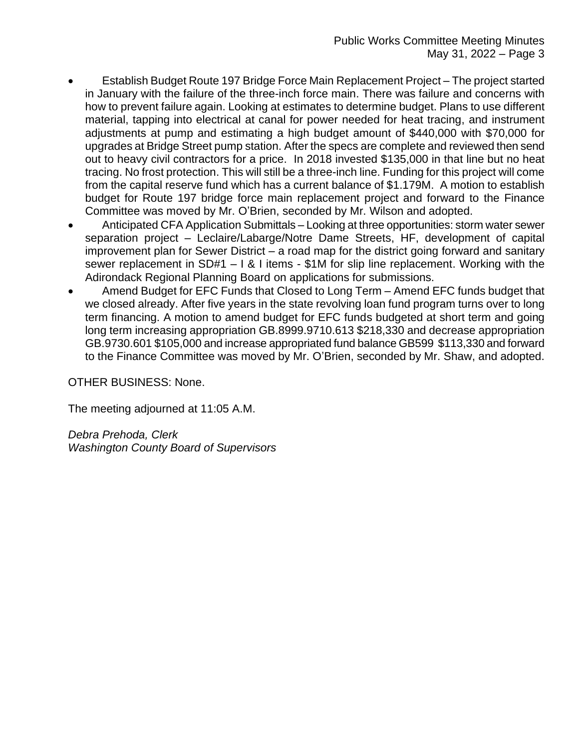- Establish Budget Route 197 Bridge Force Main Replacement Project The project started in January with the failure of the three-inch force main. There was failure and concerns with how to prevent failure again. Looking at estimates to determine budget. Plans to use different material, tapping into electrical at canal for power needed for heat tracing, and instrument adjustments at pump and estimating a high budget amount of \$440,000 with \$70,000 for upgrades at Bridge Street pump station. After the specs are complete and reviewed then send out to heavy civil contractors for a price. In 2018 invested \$135,000 in that line but no heat tracing. No frost protection. This will still be a three-inch line. Funding for this project will come from the capital reserve fund which has a current balance of \$1.179M. A motion to establish budget for Route 197 bridge force main replacement project and forward to the Finance Committee was moved by Mr. O'Brien, seconded by Mr. Wilson and adopted.
- Anticipated CFA Application Submittals Looking at three opportunities: storm water sewer separation project – Leclaire/Labarge/Notre Dame Streets, HF, development of capital improvement plan for Sewer District – a road map for the district going forward and sanitary sewer replacement in SD#1 – I & I items - \$1M for slip line replacement. Working with the Adirondack Regional Planning Board on applications for submissions.
- Amend Budget for EFC Funds that Closed to Long Term Amend EFC funds budget that we closed already. After five years in the state revolving loan fund program turns over to long term financing. A motion to amend budget for EFC funds budgeted at short term and going long term increasing appropriation GB.8999.9710.613 \$218,330 and decrease appropriation GB.9730.601 \$105,000 and increase appropriated fund balance GB599 \$113,330 and forward to the Finance Committee was moved by Mr. O'Brien, seconded by Mr. Shaw, and adopted.

### OTHER BUSINESS: None.

The meeting adjourned at 11:05 A.M.

*Debra Prehoda, Clerk Washington County Board of Supervisors*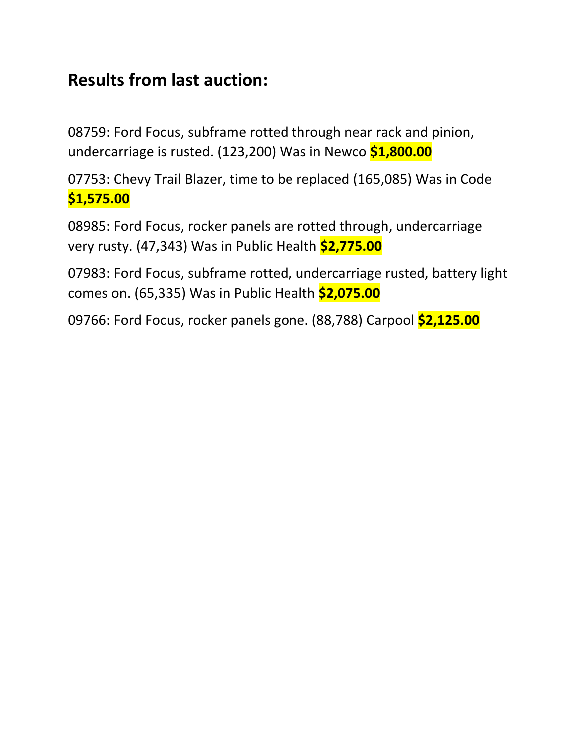# **Results from last auction:**

08759: Ford Focus, subframe rotted through near rack and pinion, undercarriage is rusted. (123,200) Was in Newco **\$1,800.00**

07753: Chevy Trail Blazer, time to be replaced (165,085) Was in Code **\$1,575.00**

08985: Ford Focus, rocker panels are rotted through, undercarriage very rusty. (47,343) Was in Public Health **\$2,775.00**

07983: Ford Focus, subframe rotted, undercarriage rusted, battery light comes on. (65,335) Was in Public Health **\$2,075.00**

09766: Ford Focus, rocker panels gone. (88,788) Carpool **\$2,125.00**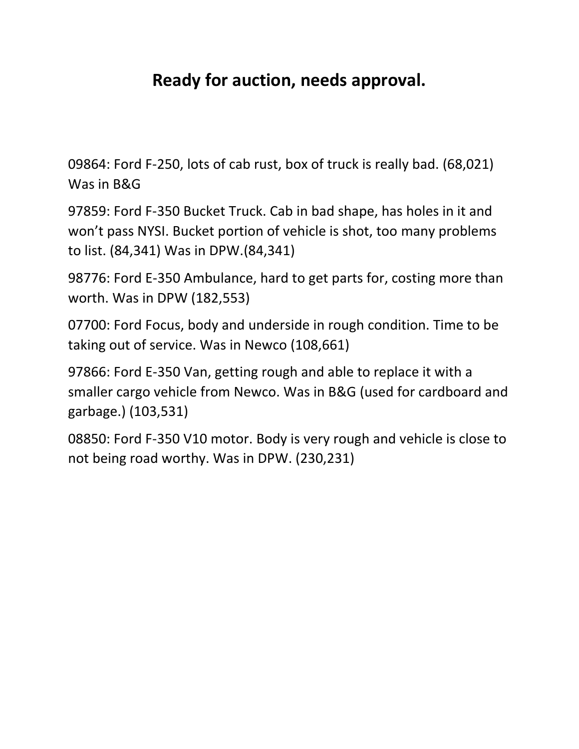# **Ready for auction, needs approval.**

09864: Ford F-250, lots of cab rust, box of truck is really bad. (68,021) Was in B&G

97859: Ford F-350 Bucket Truck. Cab in bad shape, has holes in it and won't pass NYSI. Bucket portion of vehicle is shot, too many problems to list. (84,341) Was in DPW.(84,341)

98776: Ford E-350 Ambulance, hard to get parts for, costing more than worth. Was in DPW (182,553)

07700: Ford Focus, body and underside in rough condition. Time to be taking out of service. Was in Newco (108,661)

97866: Ford E-350 Van, getting rough and able to replace it with a smaller cargo vehicle from Newco. Was in B&G (used for cardboard and garbage.) (103,531)

08850: Ford F-350 V10 motor. Body is very rough and vehicle is close to not being road worthy. Was in DPW. (230,231)